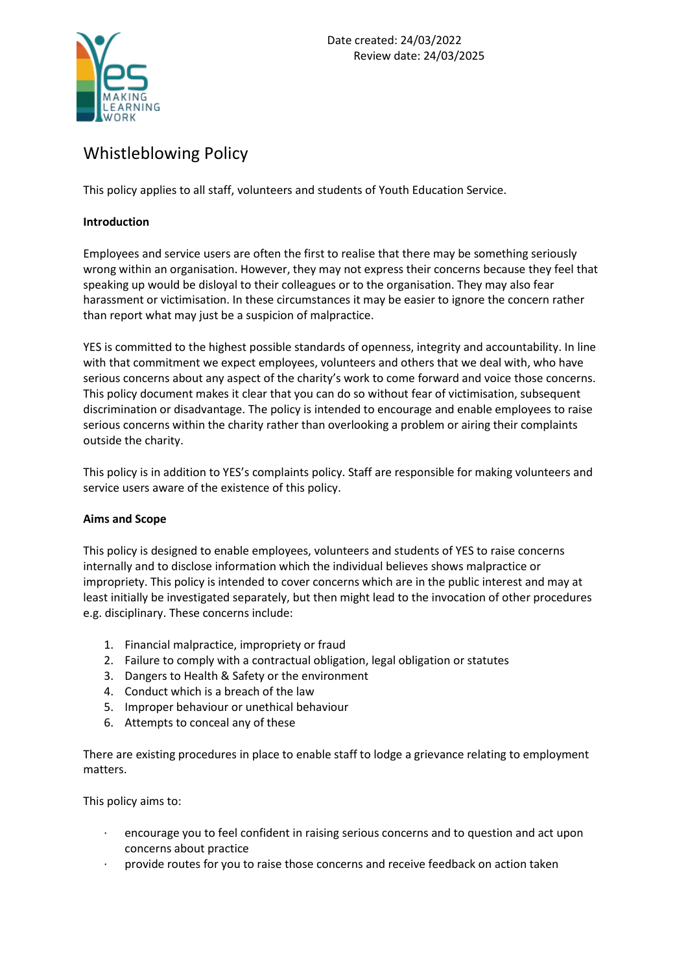

# Whistleblowing Policy

This policy applies to all staff, volunteers and students of Youth Education Service.

# **Introduction**

Employees and service users are often the first to realise that there may be something seriously wrong within an organisation. However, they may not express their concerns because they feel that speaking up would be disloyal to their colleagues or to the organisation. They may also fear harassment or victimisation. In these circumstances it may be easier to ignore the concern rather than report what may just be a suspicion of malpractice.

YES is committed to the highest possible standards of openness, integrity and accountability. In line with that commitment we expect employees, volunteers and others that we deal with, who have serious concerns about any aspect of the charity's work to come forward and voice those concerns. This policy document makes it clear that you can do so without fear of victimisation, subsequent discrimination or disadvantage. The policy is intended to encourage and enable employees to raise serious concerns within the charity rather than overlooking a problem or airing their complaints outside the charity.

This policy is in addition to YES's complaints policy. Staff are responsible for making volunteers and service users aware of the existence of this policy.

# **Aims and Scope**

This policy is designed to enable employees, volunteers and students of YES to raise concerns internally and to disclose information which the individual believes shows malpractice or impropriety. This policy is intended to cover concerns which are in the public interest and may at least initially be investigated separately, but then might lead to the invocation of other procedures e.g. disciplinary. These concerns include:

- 1. Financial malpractice, impropriety or fraud
- 2. Failure to comply with a contractual obligation, legal obligation or statutes
- 3. Dangers to Health & Safety or the environment
- 4. Conduct which is a breach of the law
- 5. Improper behaviour or unethical behaviour
- 6. Attempts to conceal any of these

There are existing procedures in place to enable staff to lodge a grievance relating to employment matters.

This policy aims to:

- · encourage you to feel confident in raising serious concerns and to question and act upon concerns about practice
- · provide routes for you to raise those concerns and receive feedback on action taken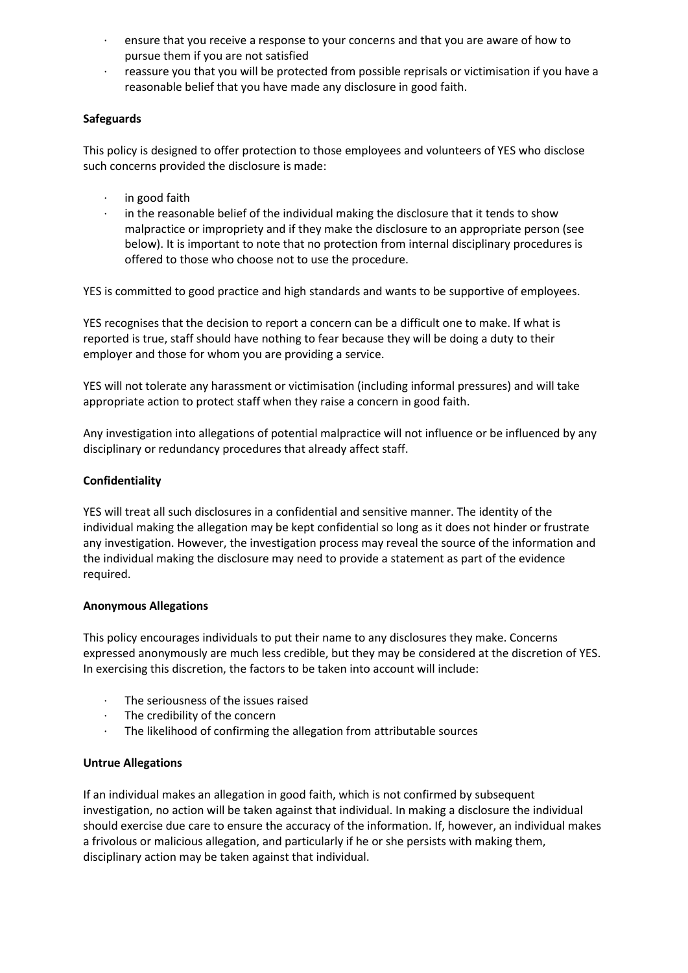- · ensure that you receive a response to your concerns and that you are aware of how to pursue them if you are not satisfied
- · reassure you that you will be protected from possible reprisals or victimisation if you have a reasonable belief that you have made any disclosure in good faith.

# **Safeguards**

This policy is designed to offer protection to those employees and volunteers of YES who disclose such concerns provided the disclosure is made:

- · in good faith
- · in the reasonable belief of the individual making the disclosure that it tends to show malpractice or impropriety and if they make the disclosure to an appropriate person (see below). It is important to note that no protection from internal disciplinary procedures is offered to those who choose not to use the procedure.

YES is committed to good practice and high standards and wants to be supportive of employees.

YES recognises that the decision to report a concern can be a difficult one to make. If what is reported is true, staff should have nothing to fear because they will be doing a duty to their employer and those for whom you are providing a service.

YES will not tolerate any harassment or victimisation (including informal pressures) and will take appropriate action to protect staff when they raise a concern in good faith.

Any investigation into allegations of potential malpractice will not influence or be influenced by any disciplinary or redundancy procedures that already affect staff.

## **Confidentiality**

YES will treat all such disclosures in a confidential and sensitive manner. The identity of the individual making the allegation may be kept confidential so long as it does not hinder or frustrate any investigation. However, the investigation process may reveal the source of the information and the individual making the disclosure may need to provide a statement as part of the evidence required.

#### **Anonymous Allegations**

This policy encourages individuals to put their name to any disclosures they make. Concerns expressed anonymously are much less credible, but they may be considered at the discretion of YES. In exercising this discretion, the factors to be taken into account will include:

- The seriousness of the issues raised
- · The credibility of the concern
- The likelihood of confirming the allegation from attributable sources

#### **Untrue Allegations**

If an individual makes an allegation in good faith, which is not confirmed by subsequent investigation, no action will be taken against that individual. In making a disclosure the individual should exercise due care to ensure the accuracy of the information. If, however, an individual makes a frivolous or malicious allegation, and particularly if he or she persists with making them, disciplinary action may be taken against that individual.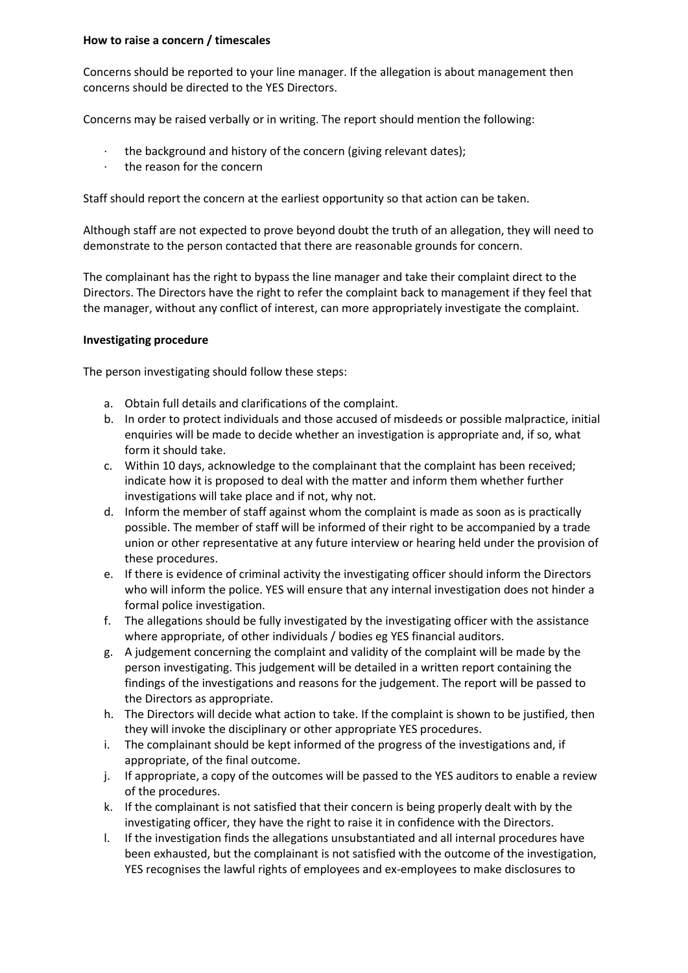## **How to raise a concern / timescales**

Concerns should be reported to your line manager. If the allegation is about management then concerns should be directed to the YES Directors.

Concerns may be raised verbally or in writing. The report should mention the following:

- $\cdot$  the background and history of the concern (giving relevant dates);
- · the reason for the concern

Staff should report the concern at the earliest opportunity so that action can be taken.

Although staff are not expected to prove beyond doubt the truth of an allegation, they will need to demonstrate to the person contacted that there are reasonable grounds for concern.

The complainant has the right to bypass the line manager and take their complaint direct to the Directors. The Directors have the right to refer the complaint back to management if they feel that the manager, without any conflict of interest, can more appropriately investigate the complaint.

# **Investigating procedure**

The person investigating should follow these steps:

- a. Obtain full details and clarifications of the complaint.
- b. In order to protect individuals and those accused of misdeeds or possible malpractice, initial enquiries will be made to decide whether an investigation is appropriate and, if so, what form it should take.
- c. Within 10 days, acknowledge to the complainant that the complaint has been received; indicate how it is proposed to deal with the matter and inform them whether further investigations will take place and if not, why not.
- d. Inform the member of staff against whom the complaint is made as soon as is practically possible. The member of staff will be informed of their right to be accompanied by a trade union or other representative at any future interview or hearing held under the provision of these procedures.
- e. If there is evidence of criminal activity the investigating officer should inform the Directors who will inform the police. YES will ensure that any internal investigation does not hinder a formal police investigation.
- f. The allegations should be fully investigated by the investigating officer with the assistance where appropriate, of other individuals / bodies eg YES financial auditors.
- g. A judgement concerning the complaint and validity of the complaint will be made by the person investigating. This judgement will be detailed in a written report containing the findings of the investigations and reasons for the judgement. The report will be passed to the Directors as appropriate.
- h. The Directors will decide what action to take. If the complaint is shown to be justified, then they will invoke the disciplinary or other appropriate YES procedures.
- i. The complainant should be kept informed of the progress of the investigations and, if appropriate, of the final outcome.
- j. If appropriate, a copy of the outcomes will be passed to the YES auditors to enable a review of the procedures.
- k. If the complainant is not satisfied that their concern is being properly dealt with by the investigating officer, they have the right to raise it in confidence with the Directors.
- l. If the investigation finds the allegations unsubstantiated and all internal procedures have been exhausted, but the complainant is not satisfied with the outcome of the investigation, YES recognises the lawful rights of employees and ex-employees to make disclosures to